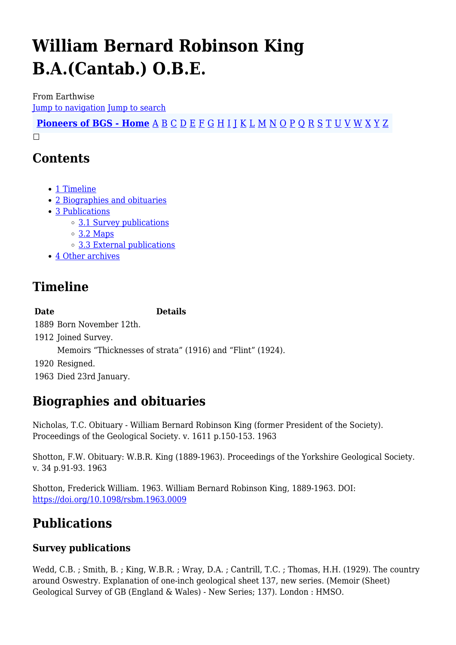# **William Bernard Robinson King B.A.(Cantab.) O.B.E.**

From Earthwise [Jump to navigation](#page--1-0) [Jump to search](#page--1-0)

**[Pioneers of BGS - Home](http://earthwise.bgs.ac.uk/index.php/Pioneers_of_the_British_Geological_Survey)** [A](http://earthwise.bgs.ac.uk/index.php/Pioneers_of_the_British_Geological_Survey#A) [B](http://earthwise.bgs.ac.uk/index.php/Pioneers_of_the_British_Geological_Survey#B) [C](http://earthwise.bgs.ac.uk/index.php/Pioneers_of_the_British_Geological_Survey#C) [D](http://earthwise.bgs.ac.uk/index.php/Pioneers_of_the_British_Geological_Survey#D) [E](http://earthwise.bgs.ac.uk/index.php/Pioneers_of_the_British_Geological_Survey#E) [F](http://earthwise.bgs.ac.uk/index.php/Pioneers_of_the_British_Geological_Survey#F) [G](http://earthwise.bgs.ac.uk/index.php/Pioneers_of_the_British_Geological_Survey#G) [H](http://earthwise.bgs.ac.uk/index.php/Pioneers_of_the_British_Geological_Survey#H) [I](http://earthwise.bgs.ac.uk/index.php/Pioneers_of_the_British_Geological_Survey#I) [J](http://earthwise.bgs.ac.uk/index.php/Pioneers_of_the_British_Geological_Survey#J) [K](http://earthwise.bgs.ac.uk/index.php/Pioneers_of_the_British_Geological_Survey#K) [L](http://earthwise.bgs.ac.uk/index.php/Pioneers_of_the_British_Geological_Survey#L) [M](http://earthwise.bgs.ac.uk/index.php/Pioneers_of_the_British_Geological_Survey#M) [N](http://earthwise.bgs.ac.uk/index.php/Pioneers_of_the_British_Geological_Survey#N) [O](http://earthwise.bgs.ac.uk/index.php/Pioneers_of_the_British_Geological_Survey#O) [P](http://earthwise.bgs.ac.uk/index.php/Pioneers_of_the_British_Geological_Survey#P) [Q](http://earthwise.bgs.ac.uk/index.php/Pioneers_of_the_British_Geological_Survey#Q) [R](http://earthwise.bgs.ac.uk/index.php/Pioneers_of_the_British_Geological_Survey#R) [S](http://earthwise.bgs.ac.uk/index.php/Pioneers_of_the_British_Geological_Survey#S) [T](http://earthwise.bgs.ac.uk/index.php/Pioneers_of_the_British_Geological_Survey#T) [U](http://earthwise.bgs.ac.uk/index.php/Pioneers_of_the_British_Geological_Survey#U) [V](http://earthwise.bgs.ac.uk/index.php/Pioneers_of_the_British_Geological_Survey#V) [W](http://earthwise.bgs.ac.uk/index.php/Pioneers_of_the_British_Geological_Survey#W) [X](http://earthwise.bgs.ac.uk/index.php/Pioneers_of_the_British_Geological_Survey#X) [Y](http://earthwise.bgs.ac.uk/index.php/Pioneers_of_the_British_Geological_Survey#Y) [Z](http://earthwise.bgs.ac.uk/index.php/Pioneers_of_the_British_Geological_Survey#Z)  $\Box$ 

### **Contents**

- [1](#page--1-0) [Timeline](#page--1-0)
- [2](#page--1-0) [Biographies and obituaries](#page--1-0)
- [3](#page--1-0) [Publications](#page--1-0)
	- [3.1](#page--1-0) [Survey publications](#page--1-0)
	- [3.2](#page--1-0) [Maps](#page--1-0)
	- [3.3](#page--1-0) [External publications](#page--1-0)
- [4](#page--1-0) [Other archives](#page--1-0)

# **Timeline**

**Date Details**

 Born November 12th. Joined Survey. Memoirs "Thicknesses of strata" (1916) and "Flint" (1924). Resigned. Died 23rd January.

# **Biographies and obituaries**

Nicholas, T.C. Obituary - William Bernard Robinson King (former President of the Society). Proceedings of the Geological Society. v. 1611 p.150-153. 1963

Shotton, F.W. Obituary: W.B.R. King (1889-1963). Proceedings of the Yorkshire Geological Society. v. 34 p.91-93. 1963

Shotton, Frederick William. 1963. William Bernard Robinson King, 1889-1963. DOI: <https://doi.org/10.1098/rsbm.1963.0009>

# **Publications**

### **Survey publications**

Wedd, C.B. ; Smith, B. ; King, W.B.R. ; Wray, D.A. ; Cantrill, T.C. ; Thomas, H.H. (1929). The country around Oswestry. Explanation of one-inch geological sheet 137, new series. (Memoir (Sheet) Geological Survey of GB (England & Wales) - New Series; 137). London : HMSO.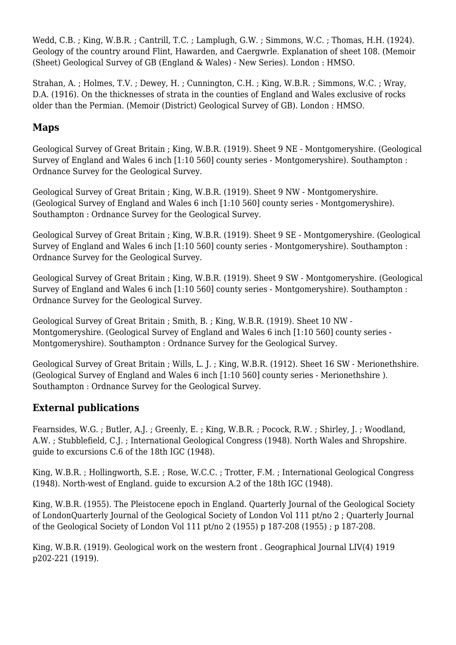Wedd, C.B. ; King, W.B.R. ; Cantrill, T.C. ; Lamplugh, G.W. ; Simmons, W.C. ; Thomas, H.H. (1924). Geology of the country around Flint, Hawarden, and Caergwrle. Explanation of sheet 108. (Memoir (Sheet) Geological Survey of GB (England & Wales) - New Series). London : HMSO.

Strahan, A. ; Holmes, T.V. ; Dewey, H. ; Cunnington, C.H. ; King, W.B.R. ; Simmons, W.C. ; Wray, D.A. (1916). On the thicknesses of strata in the counties of England and Wales exclusive of rocks older than the Permian. (Memoir (District) Geological Survey of GB). London : HMSO.

### **Maps**

Geological Survey of Great Britain ; King, W.B.R. (1919). Sheet 9 NE - Montgomeryshire. (Geological Survey of England and Wales 6 inch [1:10 560] county series - Montgomeryshire). Southampton : Ordnance Survey for the Geological Survey.

Geological Survey of Great Britain ; King, W.B.R. (1919). Sheet 9 NW - Montgomeryshire. (Geological Survey of England and Wales 6 inch [1:10 560] county series - Montgomeryshire). Southampton : Ordnance Survey for the Geological Survey.

Geological Survey of Great Britain ; King, W.B.R. (1919). Sheet 9 SE - Montgomeryshire. (Geological Survey of England and Wales 6 inch [1:10 560] county series - Montgomeryshire). Southampton : Ordnance Survey for the Geological Survey.

Geological Survey of Great Britain ; King, W.B.R. (1919). Sheet 9 SW - Montgomeryshire. (Geological Survey of England and Wales 6 inch [1:10 560] county series - Montgomeryshire). Southampton : Ordnance Survey for the Geological Survey.

Geological Survey of Great Britain ; Smith, B. ; King, W.B.R. (1919). Sheet 10 NW - Montgomeryshire. (Geological Survey of England and Wales 6 inch [1:10 560] county series - Montgomeryshire). Southampton : Ordnance Survey for the Geological Survey.

Geological Survey of Great Britain ; Wills, L. J. ; King, W.B.R. (1912). Sheet 16 SW - Merionethshire. (Geological Survey of England and Wales 6 inch [1:10 560] county series - Merionethshire ). Southampton : Ordnance Survey for the Geological Survey.

#### **External publications**

Fearnsides, W.G. ; Butler, A.J. ; Greenly, E. ; King, W.B.R. ; Pocock, R.W. ; Shirley, J. ; Woodland, A.W. ; Stubblefield, C.J. ; International Geological Congress (1948). North Wales and Shropshire. guide to excursions C.6 of the 18th IGC (1948).

King, W.B.R. ; Hollingworth, S.E. ; Rose, W.C.C. ; Trotter, F.M. ; International Geological Congress (1948). North-west of England. guide to excursion A.2 of the 18th IGC (1948).

King, W.B.R. (1955). The Pleistocene epoch in England. Quarterly Journal of the Geological Society of LondonQuarterly Journal of the Geological Society of London Vol 111 pt/no 2 ; Quarterly Journal of the Geological Society of London Vol 111 pt/no 2 (1955) p 187-208 (1955) ; p 187-208.

King, W.B.R. (1919). Geological work on the western front . Geographical Journal LIV(4) 1919 p202-221 (1919).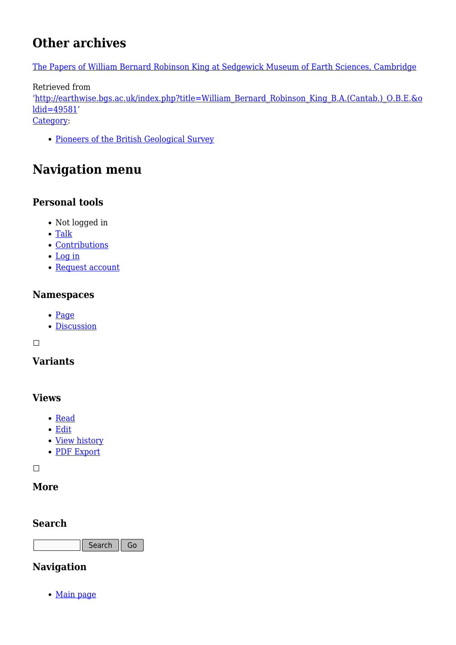## **Other archives**

[The Papers of William Bernard Robinson King at Sedgewick Museum of Earth Sciences, Cambridge](https://archiveshub.jisc.ac.uk/search/archives/4829207d-37fb-3f1d-a91f-3f17b75aad9e)

Retrieved from

'[http://earthwise.bgs.ac.uk/index.php?title=William\\_Bernard\\_Robinson\\_King\\_B.A.\(Cantab.\)\\_O.B.E.&o](http://earthwise.bgs.ac.uk/index.php?title=William_Bernard_Robinson_King_B.A.(Cantab.)_O.B.E.&oldid=49581) [ldid=49581](http://earthwise.bgs.ac.uk/index.php?title=William_Bernard_Robinson_King_B.A.(Cantab.)_O.B.E.&oldid=49581)'

[Category](http://earthwise.bgs.ac.uk/index.php/Special:Categories):

[Pioneers of the British Geological Survey](http://earthwise.bgs.ac.uk/index.php/Category:Pioneers_of_the_British_Geological_Survey)

# **Navigation menu**

### **Personal tools**

- Not logged in
- [Talk](http://earthwise.bgs.ac.uk/index.php/Special:MyTalk)
- [Contributions](http://earthwise.bgs.ac.uk/index.php/Special:MyContributions)
- [Log in](http://earthwise.bgs.ac.uk/index.php?title=Special:UserLogin&returnto=William+Bernard+Robinson+King+B.A.%28Cantab.%29+O.B.E.&returntoquery=action%3Dmpdf)
- [Request account](http://earthwise.bgs.ac.uk/index.php/Special:RequestAccount)

#### **Namespaces**

- [Page](http://earthwise.bgs.ac.uk/index.php/William_Bernard_Robinson_King_B.A.(Cantab.)_O.B.E.)
- [Discussion](http://earthwise.bgs.ac.uk/index.php?title=Talk:William_Bernard_Robinson_King_B.A.(Cantab.)_O.B.E.&action=edit&redlink=1)

 $\Box$ 

### **Variants**

#### **Views**

- [Read](http://earthwise.bgs.ac.uk/index.php/William_Bernard_Robinson_King_B.A.(Cantab.)_O.B.E.)
- [Edit](http://earthwise.bgs.ac.uk/index.php?title=William_Bernard_Robinson_King_B.A.(Cantab.)_O.B.E.&action=edit)
- [View history](http://earthwise.bgs.ac.uk/index.php?title=William_Bernard_Robinson_King_B.A.(Cantab.)_O.B.E.&action=history)
- [PDF Export](http://earthwise.bgs.ac.uk/index.php?title=William_Bernard_Robinson_King_B.A.(Cantab.)_O.B.E.&action=mpdf)

 $\Box$ 

#### **More**

#### **Search**



### **Navigation**

• [Main page](http://earthwise.bgs.ac.uk/index.php/Main_Page)